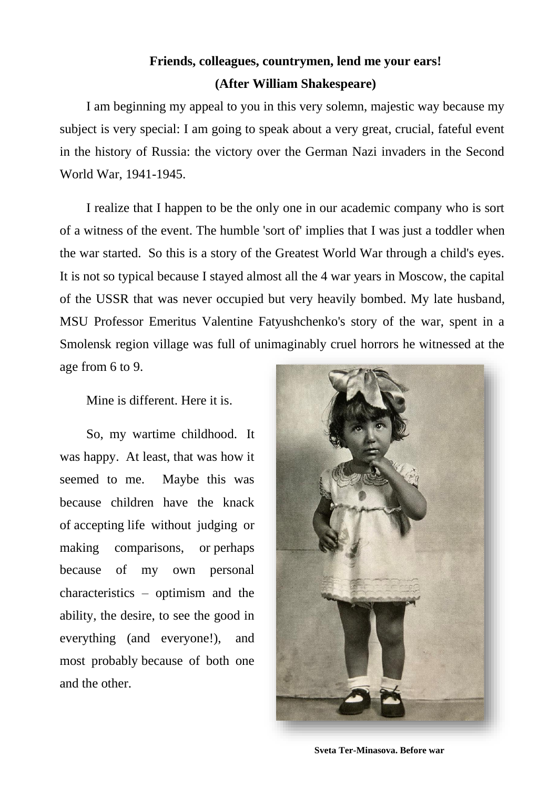## **Friends, colleagues, countrymen, lend me your ears! (After William Shakespeare)**

I am beginning my appeal to you in this very solemn, majestic way because my subject is very special: I am going to speak about a very great, crucial, fateful event in the history of Russia: the victory over the German Nazi invaders in the Second World War, 1941-1945.

I realize that I happen to be the only one in our academic company who is sort of a witness of the event. The humble 'sort of' implies that I was just a toddler when the war started. So this is a story of the Greatest World War through a child's eyes. It is not so typical because I stayed almost all the 4 war years in Moscow, the capital of the USSR that was never occupied but very heavily bombed. My late husband, MSU Professor Emeritus Valentine Fatyushchenko's story of the war, spent in a Smolensk region village was full of unimaginably cruel horrors he witnessed at the age from 6 to 9.

Mine is different. Here it is.

So, my wartime childhood. It was happy. At least, that was how it seemed to me. Maybe this was because children have the knack of accepting life without judging or making comparisons, or perhaps because of my own personal characteristics – optimism and the ability, the desire, to see the good in everything (and everyone!), and most probably because of both one and the other.



**Sveta Ter-Minasova. Before war**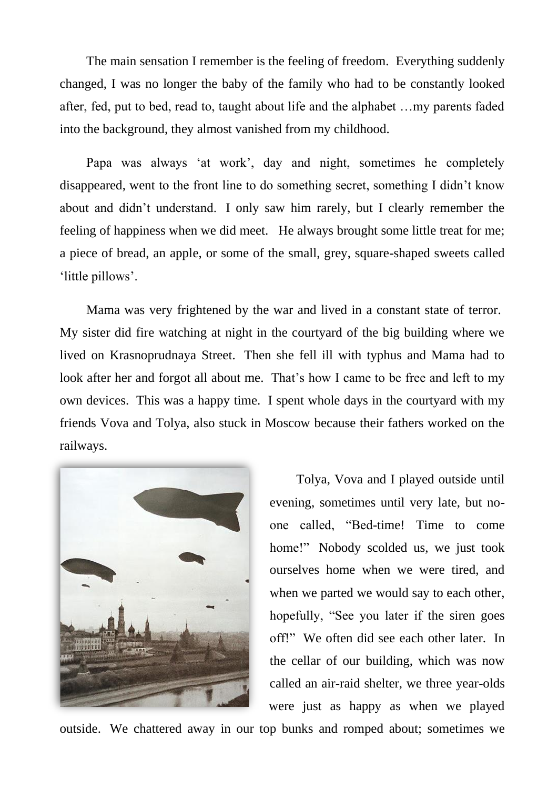The main sensation I remember is the feeling of freedom. Everything suddenly changed, I was no longer the baby of the family who had to be constantly looked after, fed, put to bed, read to, taught about life and the alphabet …my parents faded into the background, they almost vanished from my childhood.

Papa was always 'at work', day and night, sometimes he completely disappeared, went to the front line to do something secret, something I didn't know about and didn't understand. I only saw him rarely, but I clearly remember the feeling of happiness when we did meet. He always brought some little treat for me; a piece of bread, an apple, or some of the small, grey, square-shaped sweets called 'little pillows'.

Mama was very frightened by the war and lived in a constant state of terror. My sister did fire watching at night in the courtyard of the big building where we lived on Krasnoprudnaya Street. Then she fell ill with typhus and Mama had to look after her and forgot all about me. That's how I came to be free and left to my own devices. This was a happy time. I spent whole days in the courtyard with my friends Vova and Tolya, also stuck in Moscow because their fathers worked on the railways.



Tolya, Vova and I played outside until evening, sometimes until very late, but noone called, "Bed-time! Time to come home!" Nobody scolded us, we just took ourselves home when we were tired, and when we parted we would say to each other, hopefully, "See you later if the siren goes off!" We often did see each other later. In the cellar of our building, which was now called an air-raid shelter, we three year-olds were just as happy as when we played

outside. We chattered away in our top bunks and romped about; sometimes we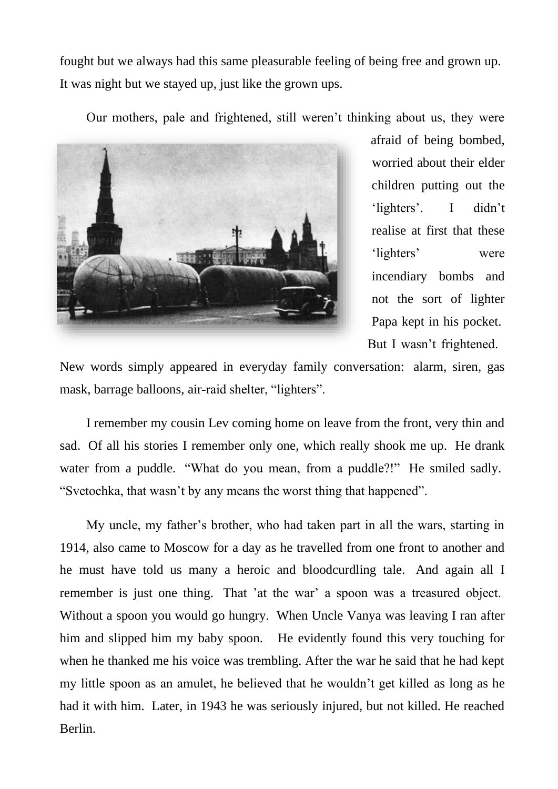fought but we always had this same pleasurable feeling of being free and grown up. It was night but we stayed up, just like the grown ups.

Our mothers, pale and frightened, still weren't thinking about us, they were



afraid of being bombed, worried about their elder children putting out the 'lighters'. I didn't realise at first that these 'lighters' were incendiary bombs and not the sort of lighter Papa kept in his pocket. But I wasn't frightened.

New words simply appeared in everyday family conversation: alarm, siren, gas mask, barrage balloons, air-raid shelter, "lighters".

I remember my cousin Lev coming home on leave from the front, very thin and sad. Of all his stories I remember only one, which really shook me up. He drank water from a puddle. "What do you mean, from a puddle?!" He smiled sadly. "Svetochka, that wasn't by any means the worst thing that happened".

My uncle, my father's brother, who had taken part in all the wars, starting in 1914, also came to Moscow for a day as he travelled from one front to another and he must have told us many a heroic and bloodcurdling tale. And again all I remember is just one thing. That 'at the war' a spoon was a treasured object. Without a spoon you would go hungry. When Uncle Vanya was leaving I ran after him and slipped him my baby spoon. He evidently found this very touching for when he thanked me his voice was trembling. After the war he said that he had kept my little spoon as an amulet, he believed that he wouldn't get killed as long as he had it with him. Later, in 1943 he was seriously injured, but not killed. He reached Berlin.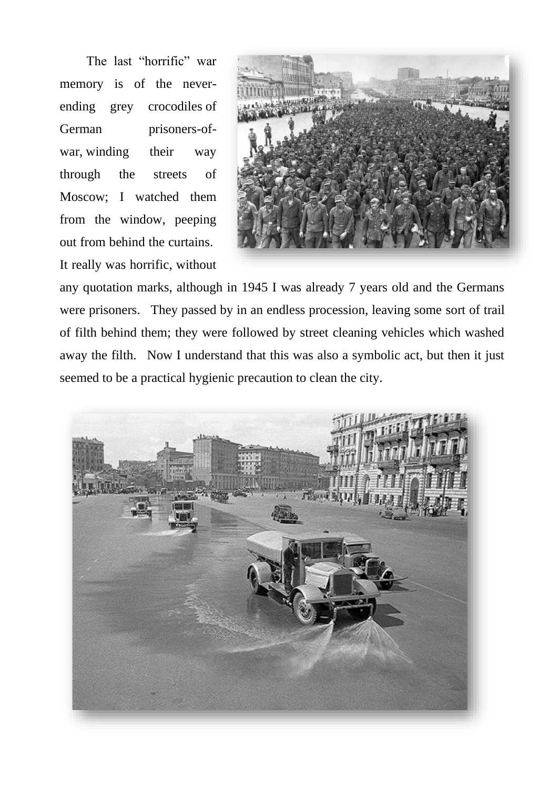The last "horrific" war memory is of the neverending grey crocodiles of German prisoners-ofwar, winding their way through the streets of Moscow; I watched them from the window, peeping out from behind the curtains. It really was horrific, without



any quotation marks, although in 1945 I was already 7 years old and the Germans were prisoners. They passed by in an endless procession, leaving some sort of trail of filth behind them; they were followed by street cleaning vehicles which washed away the filth. Now I understand that this was also a symbolic act, but then it just seemed to be a practical hygienic precaution to clean the city.